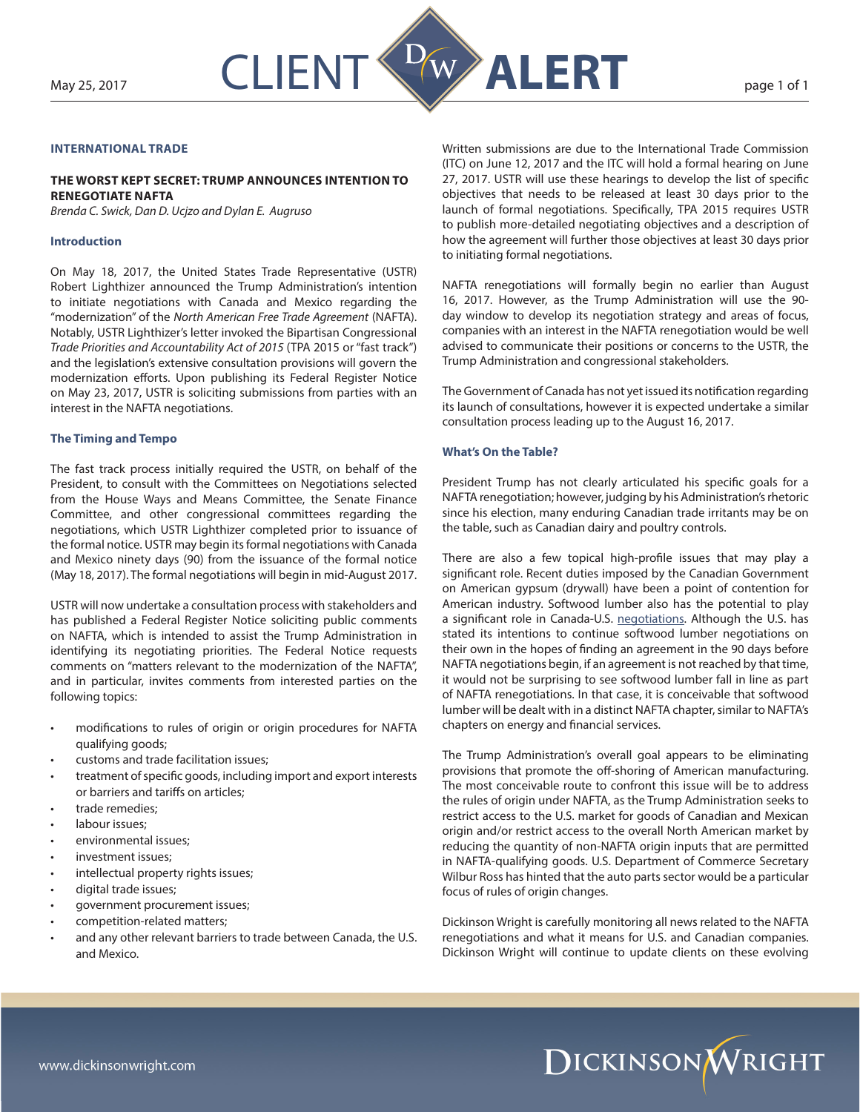

# **INTERNATIONAL TRADE**

## **THE WORST KEPT SECRET: TRUMP ANNOUNCES INTENTION TO RENEGOTIATE NAFTA**

*Brenda C. Swick, Dan D. Ucjzo and Dylan E. Augruso*

#### **Introduction**

On May 18, 2017, the United States Trade Representative (USTR) Robert Lighthizer announced the Trump Administration's intention to initiate negotiations with Canada and Mexico regarding the "modernization" of the *North American Free Trade Agreement* (NAFTA). Notably, USTR Lighthizer's letter invoked the Bipartisan Congressional *Trade Priorities and Accountability Act of 2015* (TPA 2015 or "fast track") and the legislation's extensive consultation provisions will govern the modernization efforts. Upon publishing its Federal Register Notice on May 23, 2017, USTR is soliciting submissions from parties with an interest in the NAFTA negotiations.

### **The Timing and Tempo**

The fast track process initially required the USTR, on behalf of the President, to consult with the Committees on Negotiations selected from the House Ways and Means Committee, the Senate Finance Committee, and other congressional committees regarding the negotiations, which USTR Lighthizer completed prior to issuance of the formal notice. USTR may begin its formal negotiations with Canada and Mexico ninety days (90) from the issuance of the formal notice (May 18, 2017). The formal negotiations will begin in mid-August 2017.

USTR will now undertake a consultation process with stakeholders and has published a Federal Register Notice soliciting public comments on NAFTA, which is intended to assist the Trump Administration in identifying its negotiating priorities. The Federal Notice requests comments on "matters relevant to the modernization of the NAFTA", and in particular, invites comments from interested parties on the following topics:

- modifications to rules of origin or origin procedures for NAFTA qualifying goods;
- customs and trade facilitation issues;
- treatment of specific goods, including import and export interests or barriers and tariffs on articles;
- trade remedies;
- labour issues:
- environmental issues;
- investment issues;
- intellectual property rights issues;
- digital trade issues;
- government procurement issues;
- competition-related matters;
- and any other relevant barriers to trade between Canada, the U.S. and Mexico.

Written submissions are due to the International Trade Commission (ITC) on June 12, 2017 and the ITC will hold a formal hearing on June 27, 2017. USTR will use these hearings to develop the list of specific objectives that needs to be released at least 30 days prior to the launch of formal negotiations. Specifically, TPA 2015 requires USTR to publish more-detailed negotiating objectives and a description of how the agreement will further those objectives at least 30 days prior to initiating formal negotiations.

NAFTA renegotiations will formally begin no earlier than August 16, 2017. However, as the Trump Administration will use the 90 day window to develop its negotiation strategy and areas of focus, companies with an interest in the NAFTA renegotiation would be well advised to communicate their positions or concerns to the USTR, the Trump Administration and congressional stakeholders.

The Government of Canada has not yet issued its notification regarding its launch of consultations, however it is expected undertake a similar consultation process leading up to the August 16, 2017.

### **What's On the Table?**

President Trump has not clearly articulated his specific goals for a NAFTA renegotiation; however, judging by his Administration's rhetoric since his election, many enduring Canadian trade irritants may be on the table, such as Canadian dairy and poultry controls.

There are also a few topical high-profile issues that may play a significant role. Recent duties imposed by the Canadian Government on American gypsum (drywall) have been a point of contention for American industry. Softwood lumber also has the potential to play a significant role in Canada-U.S. [negotiations](http://www.dickinson-wright.com/news-alerts/canada-us-softwood-lumber-dispute). Although the U.S. has stated its intentions to continue softwood lumber negotiations on their own in the hopes of finding an agreement in the 90 days before NAFTA negotiations begin, if an agreement is not reached by that time, it would not be surprising to see softwood lumber fall in line as part of NAFTA renegotiations. In that case, it is conceivable that softwood lumber will be dealt with in a distinct NAFTA chapter, similar to NAFTA's chapters on energy and financial services.

The Trump Administration's overall goal appears to be eliminating provisions that promote the off-shoring of American manufacturing. The most conceivable route to confront this issue will be to address the rules of origin under NAFTA, as the Trump Administration seeks to restrict access to the U.S. market for goods of Canadian and Mexican origin and/or restrict access to the overall North American market by reducing the quantity of non-NAFTA origin inputs that are permitted in NAFTA-qualifying goods. U.S. Department of Commerce Secretary Wilbur Ross has hinted that the auto parts sector would be a particular focus of rules of origin changes.

Dickinson Wright is carefully monitoring all news related to the NAFTA renegotiations and what it means for U.S. and Canadian companies. Dickinson Wright will continue to update clients on these evolving